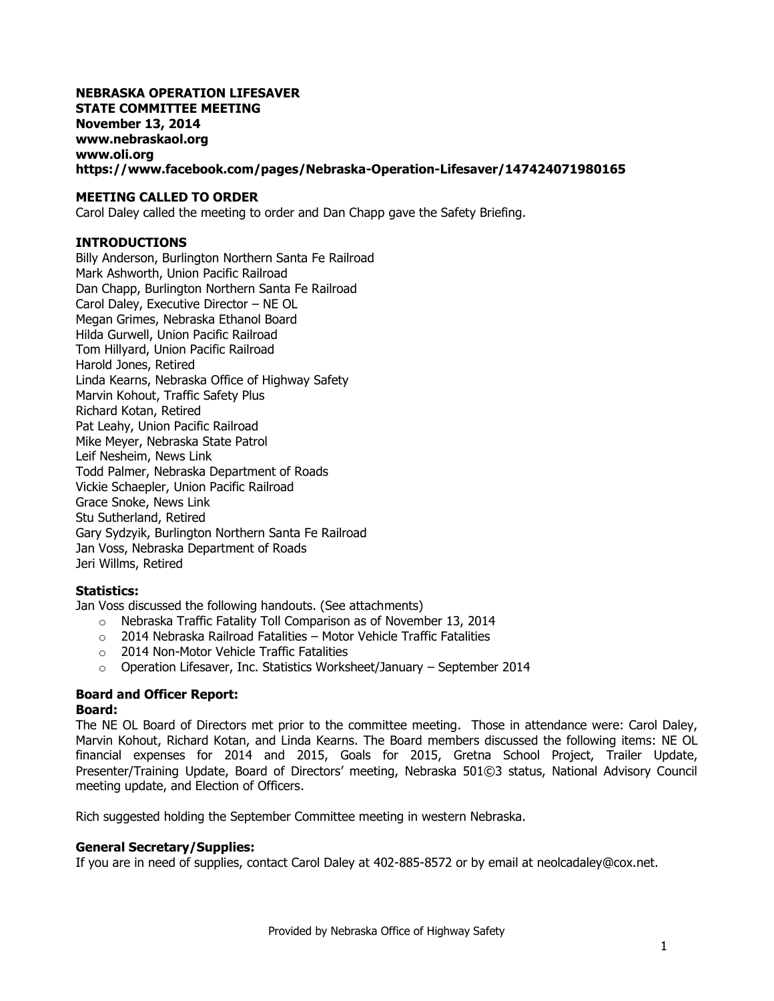#### **NEBRASKA OPERATION LIFESAVER STATE COMMITTEE MEETING November 13, 2014 www.nebraskaol.org [www.oli.org](http://www.oli.org/) <https://www.facebook.com/pages/Nebraska-Operation-Lifesaver/147424071980165>**

#### **MEETING CALLED TO ORDER**

Carol Daley called the meeting to order and Dan Chapp gave the Safety Briefing.

#### **INTRODUCTIONS**

Billy Anderson, Burlington Northern Santa Fe Railroad Mark Ashworth, Union Pacific Railroad Dan Chapp, Burlington Northern Santa Fe Railroad Carol Daley, Executive Director – NE OL Megan Grimes, Nebraska Ethanol Board Hilda Gurwell, Union Pacific Railroad Tom Hillyard, Union Pacific Railroad Harold Jones, Retired Linda Kearns, Nebraska Office of Highway Safety Marvin Kohout, Traffic Safety Plus Richard Kotan, Retired Pat Leahy, Union Pacific Railroad Mike Meyer, Nebraska State Patrol Leif Nesheim, News Link Todd Palmer, Nebraska Department of Roads Vickie Schaepler, Union Pacific Railroad Grace Snoke, News Link Stu Sutherland, Retired Gary Sydzyik, Burlington Northern Santa Fe Railroad Jan Voss, Nebraska Department of Roads Jeri Willms, Retired

#### **Statistics:**

Jan Voss discussed the following handouts. (See attachments)

- o Nebraska Traffic Fatality Toll Comparison as of November 13, 2014
- $\circ$  2014 Nebraska Railroad Fatalities Motor Vehicle Traffic Fatalities
- o 2014 Non-Motor Vehicle Traffic Fatalities
- o Operation Lifesaver, Inc. Statistics Worksheet/January September 2014

## **Board and Officer Report:**

#### **Board:**

The NE OL Board of Directors met prior to the committee meeting. Those in attendance were: Carol Daley, Marvin Kohout, Richard Kotan, and Linda Kearns. The Board members discussed the following items: NE OL financial expenses for 2014 and 2015, Goals for 2015, Gretna School Project, Trailer Update, Presenter/Training Update, Board of Directors' meeting, Nebraska 501©3 status, National Advisory Council meeting update, and Election of Officers.

Rich suggested holding the September Committee meeting in western Nebraska.

#### **General Secretary/Supplies:**

If you are in need of supplies, contact Carol Daley at 402-885-8572 or by email at [neolcadaley@cox.net.](mailto:neolcadaley@cox.net)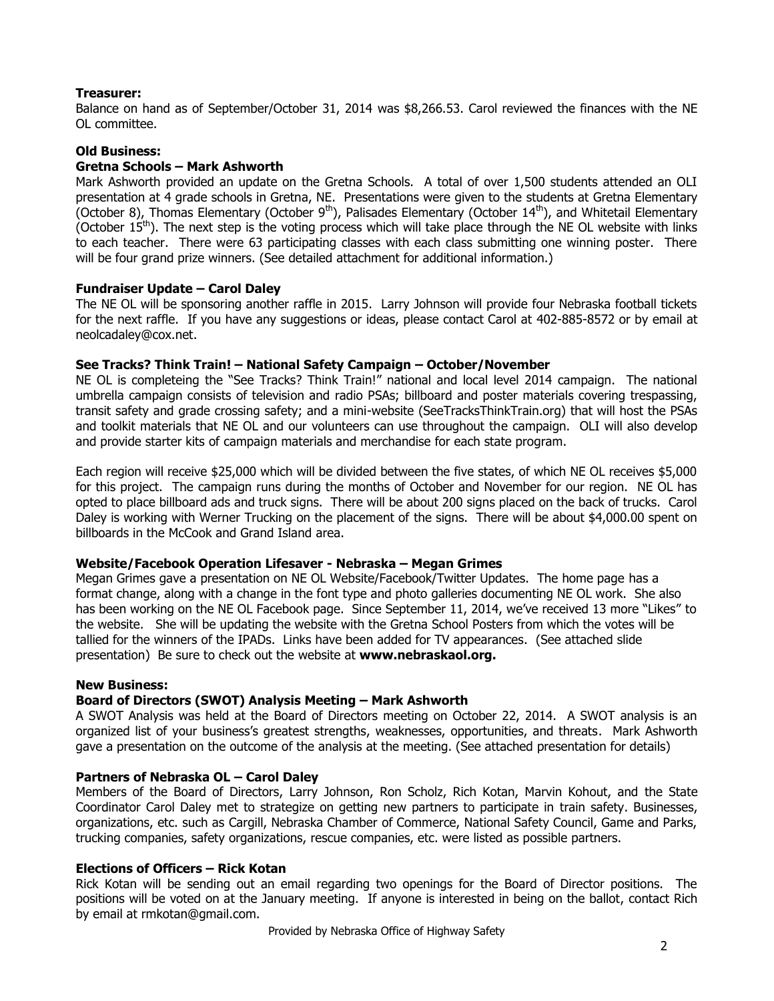#### **Treasurer:**

Balance on hand as of September/October 31, 2014 was \$8,266.53. Carol reviewed the finances with the NE OL committee.

#### **Old Business:**

#### **Gretna Schools – Mark Ashworth**

Mark Ashworth provided an update on the Gretna Schools. A total of over 1,500 students attended an OLI presentation at 4 grade schools in Gretna, NE. Presentations were given to the students at Gretna Elementary (October 8), Thomas Elementary (October 9<sup>th</sup>), Palisades Elementary (October 14<sup>th</sup>), and Whitetail Elementary (October  $15<sup>th</sup>$ ). The next step is the voting process which will take place through the NE OL website with links to each teacher. There were 63 participating classes with each class submitting one winning poster. There will be four grand prize winners. (See detailed attachment for additional information.)

#### **Fundraiser Update – Carol Daley**

The NE OL will be sponsoring another raffle in 2015. Larry Johnson will provide four Nebraska football tickets for the next raffle. If you have any suggestions or ideas, please contact Carol at 402-885-8572 or by email at [neolcadaley@cox.net.](mailto:neolcadaley@cox.net)

#### **See Tracks? Think Train! – National Safety Campaign – October/November**

NE OL is completeing the "See Tracks? Think Train!" national and local level 2014 campaign. The national umbrella campaign consists of television and radio PSAs; billboard and poster materials covering trespassing, transit safety and grade crossing safety; and a mini-website (SeeTracksThinkTrain.org) that will host the PSAs and toolkit materials that NE OL and our volunteers can use throughout the campaign. OLI will also develop and provide starter kits of campaign materials and merchandise for each state program.

Each region will receive \$25,000 which will be divided between the five states, of which NE OL receives \$5,000 for this project. The campaign runs during the months of October and November for our region. NE OL has opted to place billboard ads and truck signs. There will be about 200 signs placed on the back of trucks. Carol Daley is working with Werner Trucking on the placement of the signs. There will be about \$4,000.00 spent on billboards in the McCook and Grand Island area.

#### **Website/Facebook Operation Lifesaver - Nebraska – Megan Grimes**

Megan Grimes gave a presentation on NE OL Website/Facebook/Twitter Updates. The home page has a format change, along with a change in the font type and photo galleries documenting NE OL work. She also has been working on the NE OL Facebook page. Since September 11, 2014, we've received 13 more "Likes" to the website. She will be updating the website with the Gretna School Posters from which the votes will be tallied for the winners of the IPADs. Links have been added for TV appearances. (See attached slide presentation) Be sure to check out the website at **www.nebraskaol.org.**

#### **New Business:**

#### **Board of Directors (SWOT) Analysis Meeting – Mark Ashworth**

A SWOT Analysis was held at the Board of Directors meeting on October 22, 2014. A SWOT analysis is an organized list of your business's greatest strengths, weaknesses, opportunities, and threats. Mark Ashworth gave a presentation on the outcome of the analysis at the meeting. (See attached presentation for details)

#### **Partners of Nebraska OL – Carol Daley**

Members of the Board of Directors, Larry Johnson, Ron Scholz, Rich Kotan, Marvin Kohout, and the State Coordinator Carol Daley met to strategize on getting new partners to participate in train safety. Businesses, organizations, etc. such as Cargill, Nebraska Chamber of Commerce, National Safety Council, Game and Parks, trucking companies, safety organizations, rescue companies, etc. were listed as possible partners.

#### **Elections of Officers – Rick Kotan**

Rick Kotan will be sending out an email regarding two openings for the Board of Director positions. The positions will be voted on at the January meeting. If anyone is interested in being on the ballot, contact Rich by email at rmkotan@gmail.com.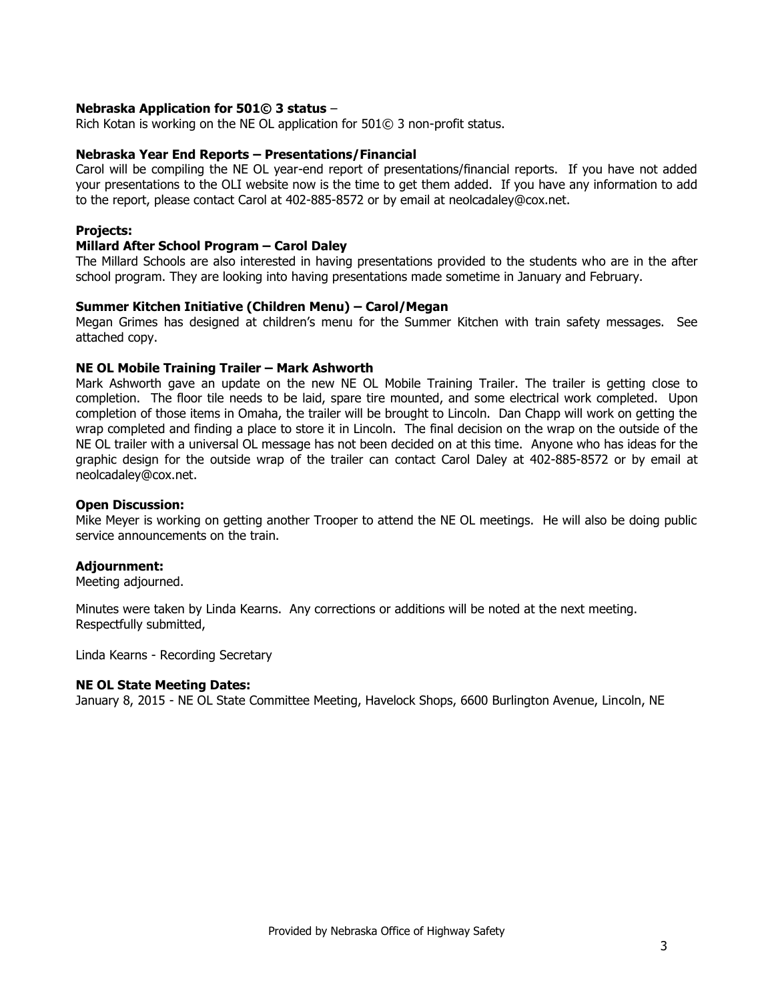#### **Nebraska Application for 501© 3 status** –

Rich Kotan is working on the NE OL application for 501© 3 non-profit status.

#### **Nebraska Year End Reports – Presentations/Financial**

Carol will be compiling the NE OL year-end report of presentations/financial reports. If you have not added your presentations to the OLI website now is the time to get them added. If you have any information to add to the report, please contact Carol at 402-885-8572 or by email at [neolcadaley@cox.net.](mailto:neolcadaley@cox.net)

#### **Projects:**

#### **Millard After School Program – Carol Daley**

The Millard Schools are also interested in having presentations provided to the students who are in the after school program. They are looking into having presentations made sometime in January and February.

#### **Summer Kitchen Initiative (Children Menu) – Carol/Megan**

Megan Grimes has designed at children's menu for the Summer Kitchen with train safety messages. See attached copy.

#### **NE OL Mobile Training Trailer – Mark Ashworth**

Mark Ashworth gave an update on the new NE OL Mobile Training Trailer. The trailer is getting close to completion. The floor tile needs to be laid, spare tire mounted, and some electrical work completed. Upon completion of those items in Omaha, the trailer will be brought to Lincoln. Dan Chapp will work on getting the wrap completed and finding a place to store it in Lincoln. The final decision on the wrap on the outside of the NE OL trailer with a universal OL message has not been decided on at this time. Anyone who has ideas for the graphic design for the outside wrap of the trailer can contact Carol Daley at 402-885-8572 or by email at [neolcadaley@cox.net.](mailto:neolcadaley@cox.net)

#### **Open Discussion:**

Mike Meyer is working on getting another Trooper to attend the NE OL meetings. He will also be doing public service announcements on the train.

#### **Adjournment:**

Meeting adjourned.

Minutes were taken by Linda Kearns. Any corrections or additions will be noted at the next meeting. Respectfully submitted,

Linda Kearns - Recording Secretary

#### **NE OL State Meeting Dates:**

January 8, 2015 - NE OL State Committee Meeting, Havelock Shops, 6600 Burlington Avenue, Lincoln, NE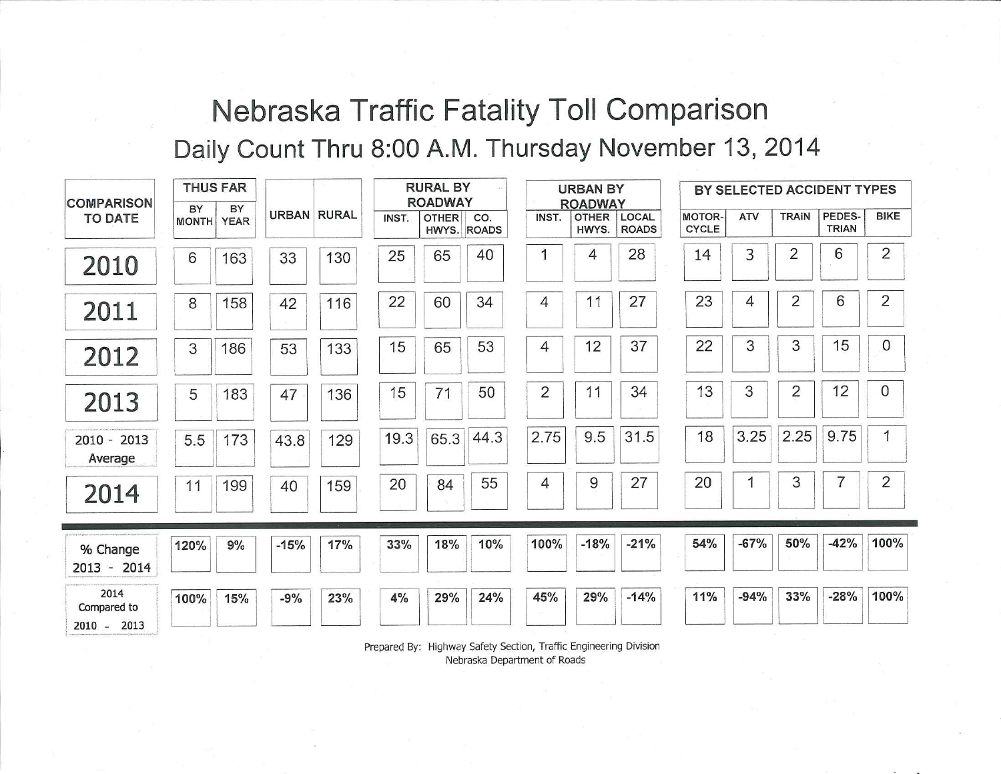# Nebraska Traffic Fatality Toll Comparison Daily Count Thru 8:00 A.M. Thursday November 13, 2014

| <b>COMPARISON</b>                  |      | <b>THUS FAR</b>         |                    |     | <b>RURAL BY</b><br><b>ROADWAY</b> |              |                    | <b>URBAN BY</b><br><b>ROADWAY</b> |                       | BY SELECTED ACCIDENT TYPES |                               |            |                |                        |              |
|------------------------------------|------|-------------------------|--------------------|-----|-----------------------------------|--------------|--------------------|-----------------------------------|-----------------------|----------------------------|-------------------------------|------------|----------------|------------------------|--------------|
| <b>TO DATE</b>                     | BY   | BY<br><b>MONTH YEAR</b> | <b>URBAN RURAL</b> |     | INST.                             | <b>OTHER</b> | CO.<br>HWYS. ROADS | INST.                             | <b>OTHER</b><br>HWYS. | LOCAL<br><b>ROADS</b>      | <b>MOTOR-</b><br><b>CYCLE</b> | <b>ATV</b> | <b>TRAIN</b>   | PEDES-<br><b>TRIAN</b> | <b>BIKE</b>  |
| 2010                               | 6    | 163                     | 33                 | 130 | 25                                | 65           | 40                 | 1                                 | 4                     | 28                         | 14                            | 3          | 2              | 6                      | 2            |
| 2011                               | 8    | 158                     | 42                 | 116 | 22                                | 60           | 34                 | 4                                 | 11                    | 27                         | 23                            | 4          | 2              | 6                      | 2            |
| 2012                               | 3    | 186                     | 53                 | 133 | 15                                | 65           | 53                 | 4                                 | 12                    | 37                         | 22                            | 3          | 3              | 15                     | $\mathbf{0}$ |
| 2013                               | 5    | 183                     | 47                 | 136 | 15                                | 71           | 50                 | 2                                 | 11                    | 34                         | 13                            | 3          | $\overline{2}$ | 12                     | $\mathbf{0}$ |
| 2010 - 2013<br>Average             | 5.5  | 173                     | 43.8               | 129 | 19.3                              | 65.3         | 44.3               | 2.75                              | 9.5                   | 31.5                       | 18                            | 3.25       | 2.25           | 9.75                   |              |
| 2014                               | 11   | 199                     | 40                 | 159 | 20                                | 84           | 55                 | 4                                 | 9                     | 27                         | 20                            | 1          | 3              | 7                      | 2            |
| % Change<br>2013 - 2014            | 120% | 9%                      | $-15%$             | 17% | 33%                               | 18%          | 10%                | 100%                              | $-18%$                | $-21%$                     | 54%                           | $-67%$     | 50%            | $-42%$                 | 100%         |
| 2014<br>Compared to<br>2010 - 2013 | 100% | 15%                     | $-9%$              | 23% | 4%                                | 29%          | 24%                | 45%                               | 29%                   | $-14%$                     | 11%                           | $-94%$     | 33%            | $-28%$                 | 100%         |

Prepared By: Highway Safety Section, Traffic Engineering Division Nebraska Department of Roads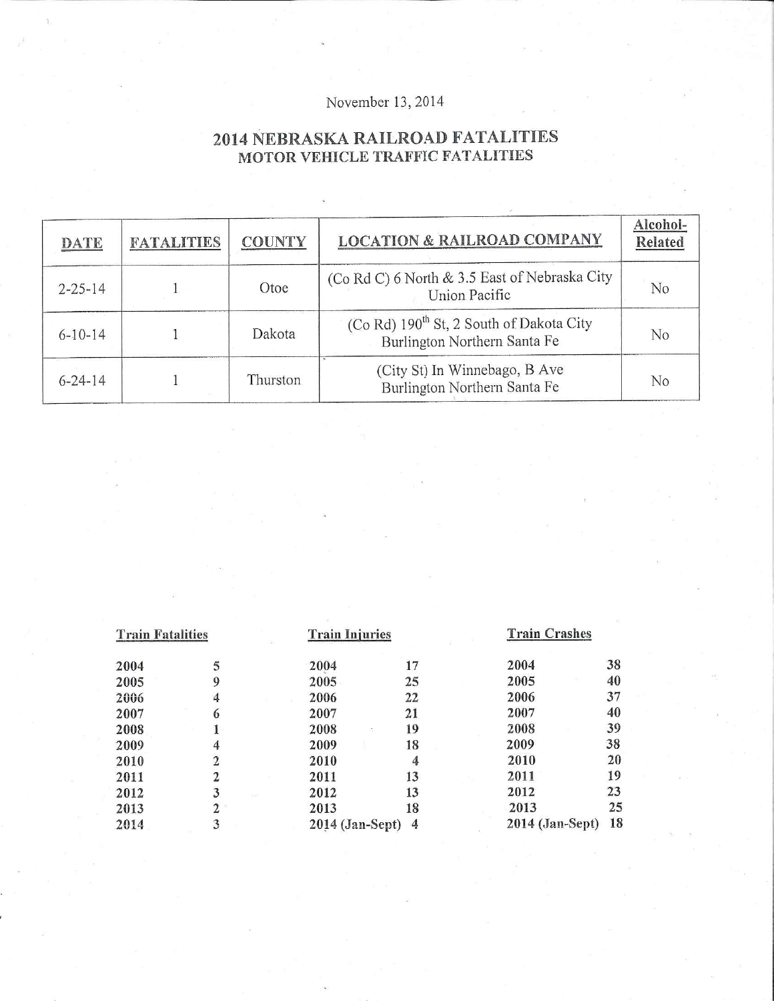# November 13, 2014

# 2014 NEBRASKA RAILROAD FATALITIES MOTOR VEHICLE TRAFFIC FATALITIES

| DATE          | <b>FATALITIES</b> | <b>COUNTY</b> | <b>LOCATION &amp; RAILROAD COMPANY</b>                                               | Alcohol-<br>Related |
|---------------|-------------------|---------------|--------------------------------------------------------------------------------------|---------------------|
| $2 - 25 - 14$ |                   | Otoe          | (Co Rd C) 6 North & 3.5 East of Nebraska City<br>Union Pacific                       | No                  |
| $6 - 10 - 14$ |                   | Dakota        | (Co Rd) 190 <sup>th</sup> St, 2 South of Dakota City<br>Burlington Northern Santa Fe | No                  |
| $6 - 24 - 14$ |                   | Thurston      | (City St) In Winnebago, B Ave<br>Burlington Northern Santa Fe                        | No                  |

| <b>Train Fatalities</b> |                | <b>Train Injuries</b> |                | <b>Train Crashes</b> |    |
|-------------------------|----------------|-----------------------|----------------|----------------------|----|
| 2004                    | 5              | 2004                  | 17             | 2004                 | 38 |
| 2005                    | 9              | 2005                  | 25             | 2005                 | 40 |
| 2006                    | 4              | 2006                  | 22             | 2006                 | 37 |
| 2007                    | 6              | 2007                  | 21             | 2007                 | 40 |
| 2008                    |                | 2008                  | 19             | 2008                 | 39 |
| 2009                    | 4              | 2009                  | 18             | 2009                 | 38 |
| 2010                    | $\overline{2}$ | 2010                  | 4              | 2010                 | 20 |
| 2011                    | 2              | 2011                  | 13             | 2011                 | 19 |
| 2012                    | 3              | 2012                  | 13             | 2012                 | 23 |
| 2013                    | $\mathbf{2}$   | 2013                  | 18             | 2013                 | 25 |
| 2014                    | 3              | $2014$ (Jan-Sept)     | $\overline{4}$ | 2014 (Jan-Sept)      | 18 |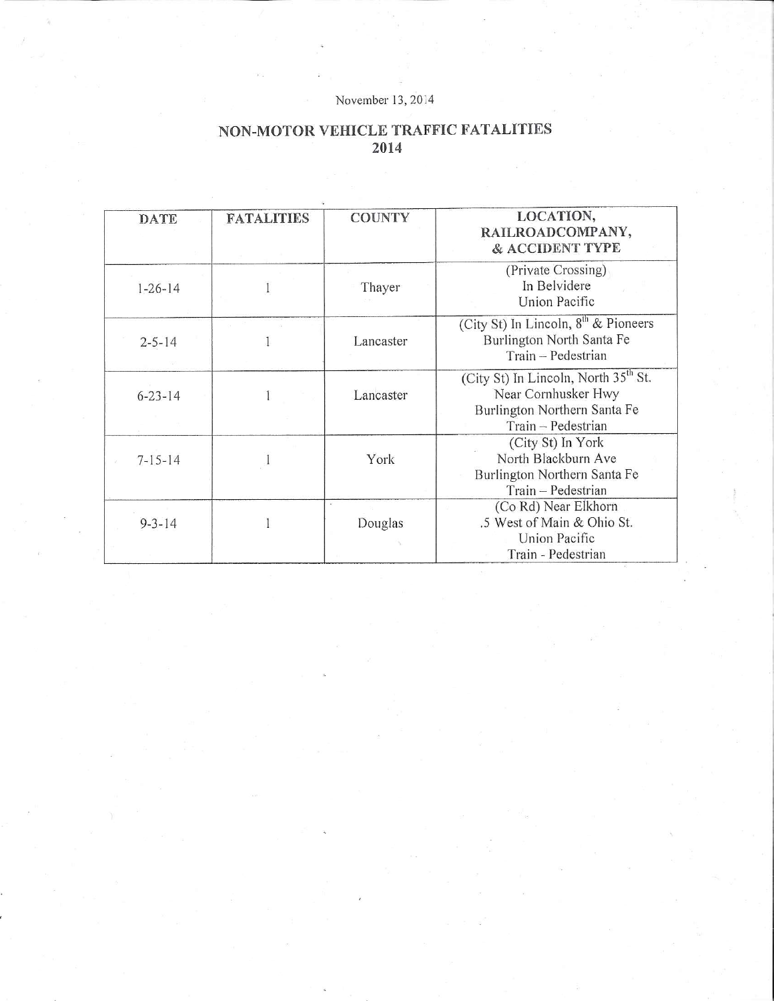### November 13, 2014

## NON-MOTOR VEHICLE TRAFFIC FATALITIES 2014

| <b>DATE</b>   | <b>FATALITIES</b> | <b>COUNTY</b> | LOCATION,<br>RAILROADCOMPANY,<br>& ACCIDENT TYPE                                                                              |
|---------------|-------------------|---------------|-------------------------------------------------------------------------------------------------------------------------------|
| $1 - 26 - 14$ |                   | Thayer        | (Private Crossing)<br>In Belvidere<br>Union Pacific                                                                           |
| $2 - 5 - 14$  |                   | Lancaster     | (City St) In Lincoln, 8 <sup>th</sup> & Pioneers<br>Burlington North Santa Fe<br>Train - Pedestrian                           |
| $6 - 23 - 14$ |                   | Lancaster     | (City St) In Lincoln, North 35 <sup>th</sup> St.<br>Near Cornhusker Hwy<br>Burlington Northern Santa Fe<br>Train - Pedestrian |
| $7 - 15 - 14$ |                   | York          | (City St) In York<br>North Blackburn Ave<br>Burlington Northern Santa Fe<br>Train - Pedestrian                                |
| $9 - 3 - 14$  |                   | Douglas       | (Co Rd) Near Elkhorn<br>.5 West of Main & Ohio St.<br>Union Pacific<br>Train - Pedestrian                                     |